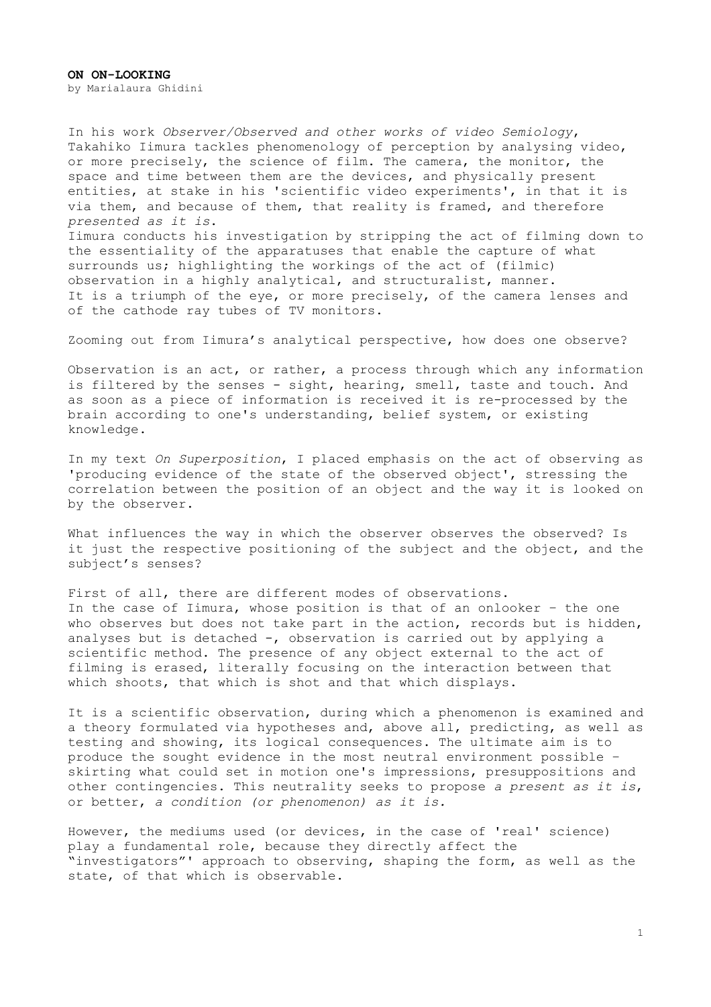In his work *Observer/Observed and other works of video Semiology*, Takahiko Iimura tackles phenomenology of perception by analysing video, or more precisely, the science of film. The camera, the monitor, the space and time between them are the devices, and physically present entities, at stake in his 'scientific video experiments', in that it is via them, and because of them, that reality is framed, and therefore *presented as it is*. Iimura conducts his investigation by stripping the act of filming down to the essentiality of the apparatuses that enable the capture of what surrounds us; highlighting the workings of the act of (filmic) observation in a highly analytical, and structuralist, manner. It is a triumph of the eye, or more precisely, of the camera lenses and of the cathode ray tubes of TV monitors.

Zooming out from Iimura's analytical perspective, how does one observe?

Observation is an act, or rather, a process through which any information is filtered by the senses - sight, hearing, smell, taste and touch. And as soon as a piece of information is received it is re-processed by the brain according to one's understanding, belief system, or existing knowledge.

In my text *On Superposition*, I placed emphasis on the act of observing as 'producing evidence of the state of the observed object', stressing the correlation between the position of an object and the way it is looked on by the observer.

What influences the way in which the observer observes the observed? Is it just the respective positioning of the subject and the object, and the subject's senses?

First of all, there are different modes of observations. In the case of Iimura, whose position is that of an onlooker – the one who observes but does not take part in the action, records but is hidden, analyses but is detached -, observation is carried out by applying a scientific method. The presence of any object external to the act of filming is erased, literally focusing on the interaction between that which shoots, that which is shot and that which displays.

It is a scientific observation, during which a phenomenon is examined and a theory formulated via hypotheses and, above all, predicting, as well as testing and showing, its logical consequences. The ultimate aim is to produce the sought evidence in the most neutral environment possible – skirting what could set in motion one's impressions, presuppositions and other contingencies. This neutrality seeks to propose *a present as it is*, or better, *a condition (or phenomenon) as it is.*

However, the mediums used (or devices, in the case of 'real' science) play a fundamental role, because they directly affect the "investigators"' approach to observing, shaping the form, as well as the state, of that which is observable.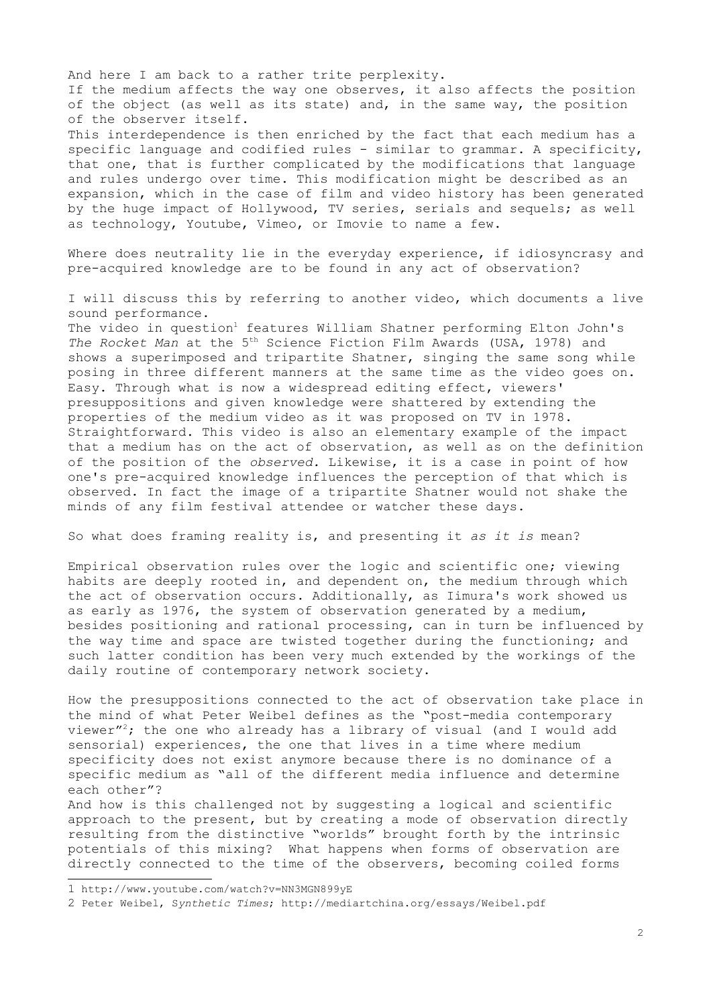And here I am back to a rather trite perplexity. If the medium affects the way one observes, it also affects the position of the object (as well as its state) and, in the same way, the position of the observer itself. This interdependence is then enriched by the fact that each medium has a specific language and codified rules - similar to grammar. A specificity, that one, that is further complicated by the modifications that language and rules undergo over time. This modification might be described as an expansion, which in the case of film and video history has been generated by the huge impact of Hollywood, TV series, serials and sequels; as well as technology, Youtube, Vimeo, or Imovie to name a few.

Where does neutrality lie in the everyday experience, if idiosyncrasy and pre-acquired knowledge are to be found in any act of observation?

I will discuss this by referring to another video, which documents a live sound performance.

The video in question<sup>[1](#page-1-0)</sup> features William Shatner performing Elton John's *The Rocket Man* at the 5th Science Fiction Film Awards (USA, 1978) and shows a superimposed and tripartite Shatner, singing the same song while posing in three different manners at the same time as the video goes on. Easy. Through what is now a widespread editing effect, viewers' presuppositions and given knowledge were shattered by extending the properties of the medium video as it was proposed on TV in 1978. Straightforward. This video is also an elementary example of the impact that a medium has on the act of observation, as well as on the definition of the position of the *observed.* Likewise, it is a case in point of how one's pre-acquired knowledge influences the perception of that which is observed. In fact the image of a tripartite Shatner would not shake the minds of any film festival attendee or watcher these days.

So what does framing reality is, and presenting it *as it is* mean?

Empirical observation rules over the logic and scientific one; viewing habits are deeply rooted in, and dependent on, the medium through which the act of observation occurs. Additionally, as Iimura's work showed us as early as 1976, the system of observation generated by a medium, besides positioning and rational processing, can in turn be influenced by the way time and space are twisted together during the functioning; and such latter condition has been very much extended by the workings of the daily routine of contemporary network society.

How the presuppositions connected to the act of observation take place in the mind of what Peter Weibel defines as the "post-media contemporary viewer"[2](#page-1-1); the one who already has a library of visual (and I would add sensorial) experiences, the one that lives in a time where medium specificity does not exist anymore because there is no dominance of a specific medium as "all of the different media influence and determine each other"?

And how is this challenged not by suggesting a logical and scientific approach to the present, but by creating a mode of observation directly resulting from the distinctive "worlds" brought forth by the intrinsic potentials of this mixing? What happens when forms of observation are directly connected to the time of the observers, becoming coiled forms

<span id="page-1-0"></span><sup>1</sup> http://www.youtube.com/watch?v=NN3MGN899yE

<span id="page-1-1"></span><sup>2</sup> Peter Weibel, S*ynthetic Times*; http://mediartchina.org/essays/Weibel.pdf